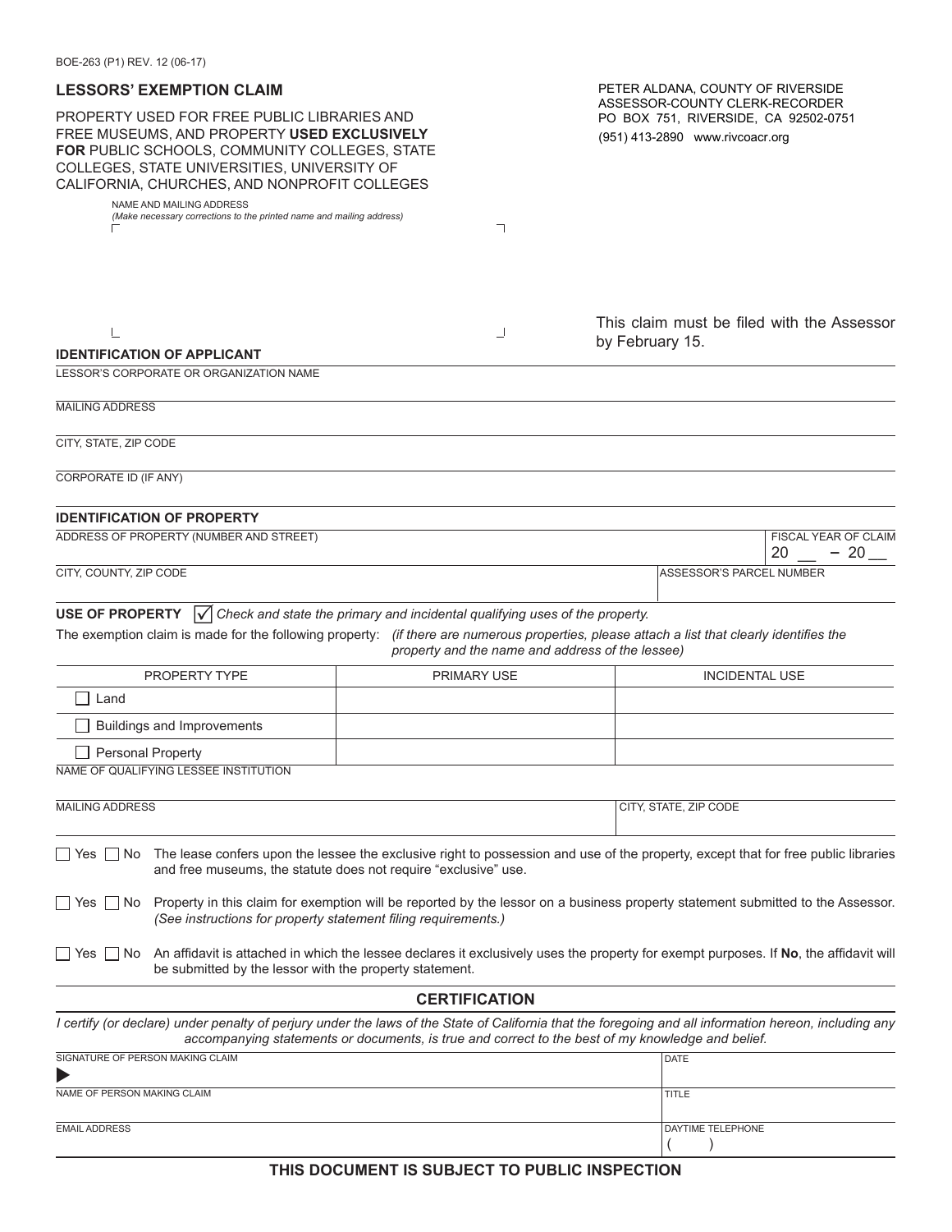| <b>LESSORS' EXEMPTION CLAIM</b>                                                                                                                                                                                                            | PETER ALDANA, COUNTY OF RIVERSIDE                                                                 |                                                                                                                                                        |  |  |  |
|--------------------------------------------------------------------------------------------------------------------------------------------------------------------------------------------------------------------------------------------|---------------------------------------------------------------------------------------------------|--------------------------------------------------------------------------------------------------------------------------------------------------------|--|--|--|
| PROPERTY USED FOR FREE PUBLIC LIBRARIES AND<br>FREE MUSEUMS, AND PROPERTY USED EXCLUSIVELY<br>FOR PUBLIC SCHOOLS, COMMUNITY COLLEGES, STATE<br>COLLEGES, STATE UNIVERSITIES, UNIVERSITY OF<br>CALIFORNIA, CHURCHES, AND NONPROFIT COLLEGES |                                                                                                   | ASSESSOR-COUNTY CLERK-RECORDER<br>PO BOX 751, RIVERSIDE, CA 92502-0751<br>(951) 413-2890 www.rivcoacr.org                                              |  |  |  |
| NAME AND MAILING ADDRESS<br>(Make necessary corrections to the printed name and mailing address)                                                                                                                                           | ┑                                                                                                 |                                                                                                                                                        |  |  |  |
|                                                                                                                                                                                                                                            |                                                                                                   |                                                                                                                                                        |  |  |  |
|                                                                                                                                                                                                                                            | ┘                                                                                                 | This claim must be filed with the Assessor<br>by February 15.                                                                                          |  |  |  |
| <b>IDENTIFICATION OF APPLICANT</b><br>LESSOR'S CORPORATE OR ORGANIZATION NAME                                                                                                                                                              |                                                                                                   |                                                                                                                                                        |  |  |  |
|                                                                                                                                                                                                                                            |                                                                                                   |                                                                                                                                                        |  |  |  |
| <b>MAILING ADDRESS</b>                                                                                                                                                                                                                     |                                                                                                   |                                                                                                                                                        |  |  |  |
| CITY, STATE, ZIP CODE                                                                                                                                                                                                                      |                                                                                                   |                                                                                                                                                        |  |  |  |
| <b>CORPORATE ID (IF ANY)</b>                                                                                                                                                                                                               |                                                                                                   |                                                                                                                                                        |  |  |  |
| <b>IDENTIFICATION OF PROPERTY</b>                                                                                                                                                                                                          |                                                                                                   |                                                                                                                                                        |  |  |  |
| FISCAL YEAR OF CLAIM<br>ADDRESS OF PROPERTY (NUMBER AND STREET)                                                                                                                                                                            |                                                                                                   |                                                                                                                                                        |  |  |  |
| CITY, COUNTY, ZIP CODE                                                                                                                                                                                                                     | 20<br>$-20$<br>ASSESSOR'S PARCEL NUMBER                                                           |                                                                                                                                                        |  |  |  |
|                                                                                                                                                                                                                                            |                                                                                                   |                                                                                                                                                        |  |  |  |
| <b>USE OF PROPERTY</b><br>The exemption claim is made for the following property: (if there are numerous properties, please attach a list that clearly identifies the                                                                      | $\sqrt{\phantom{a}}$ Check and state the primary and incidental qualifying uses of the property.  |                                                                                                                                                        |  |  |  |
|                                                                                                                                                                                                                                            | property and the name and address of the lessee)                                                  |                                                                                                                                                        |  |  |  |
| PROPERTY TYPE                                                                                                                                                                                                                              | <b>PRIMARY USE</b>                                                                                | <b>INCIDENTAL USE</b>                                                                                                                                  |  |  |  |
| Land                                                                                                                                                                                                                                       |                                                                                                   |                                                                                                                                                        |  |  |  |
| <b>Buildings and Improvements</b>                                                                                                                                                                                                          |                                                                                                   |                                                                                                                                                        |  |  |  |
| <b>Personal Property</b>                                                                                                                                                                                                                   |                                                                                                   |                                                                                                                                                        |  |  |  |
| NAME OF QUALIFYING LESSEE INSTITUTION                                                                                                                                                                                                      |                                                                                                   |                                                                                                                                                        |  |  |  |
| <b>MAILING ADDRESS</b>                                                                                                                                                                                                                     |                                                                                                   | CITY, STATE, ZIP CODE                                                                                                                                  |  |  |  |
| □ Yes □ No The lease confers upon the lessee the exclusive right to possession and use of the property, except that for free public libraries<br>and free museums, the statute does not require "exclusive" use.                           |                                                                                                   |                                                                                                                                                        |  |  |  |
| □ Yes □ No Property in this claim for exemption will be reported by the lessor on a business property statement submitted to the Assessor.<br>(See instructions for property statement filing requirements.)                               |                                                                                                   |                                                                                                                                                        |  |  |  |
| An affidavit is attached in which the lessee declares it exclusively uses the property for exempt purposes. If No, the affidavit will<br>    Yes     No<br>be submitted by the lessor with the property statement.                         |                                                                                                   |                                                                                                                                                        |  |  |  |
|                                                                                                                                                                                                                                            | <b>CERTIFICATION</b>                                                                              |                                                                                                                                                        |  |  |  |
|                                                                                                                                                                                                                                            | accompanying statements or documents, is true and correct to the best of my knowledge and belief. | I certify (or declare) under penalty of perjury under the laws of the State of California that the foregoing and all information hereon, including any |  |  |  |
| SIGNATURE OF PERSON MAKING CLAIM                                                                                                                                                                                                           | <b>DATE</b>                                                                                       |                                                                                                                                                        |  |  |  |
| NAME OF PERSON MAKING CLAIM                                                                                                                                                                                                                | <b>TITLE</b>                                                                                      |                                                                                                                                                        |  |  |  |
| <b>EMAIL ADDRESS</b>                                                                                                                                                                                                                       |                                                                                                   | DAYTIME TELEPHONE                                                                                                                                      |  |  |  |
|                                                                                                                                                                                                                                            |                                                                                                   |                                                                                                                                                        |  |  |  |
|                                                                                                                                                                                                                                            | THIS DOCUMENT IS SUBJECT TO PUBLIC INSPECTION                                                     |                                                                                                                                                        |  |  |  |

**THIS DOCUMENT IS SUBJECT TO PUBLIC INSPECTION**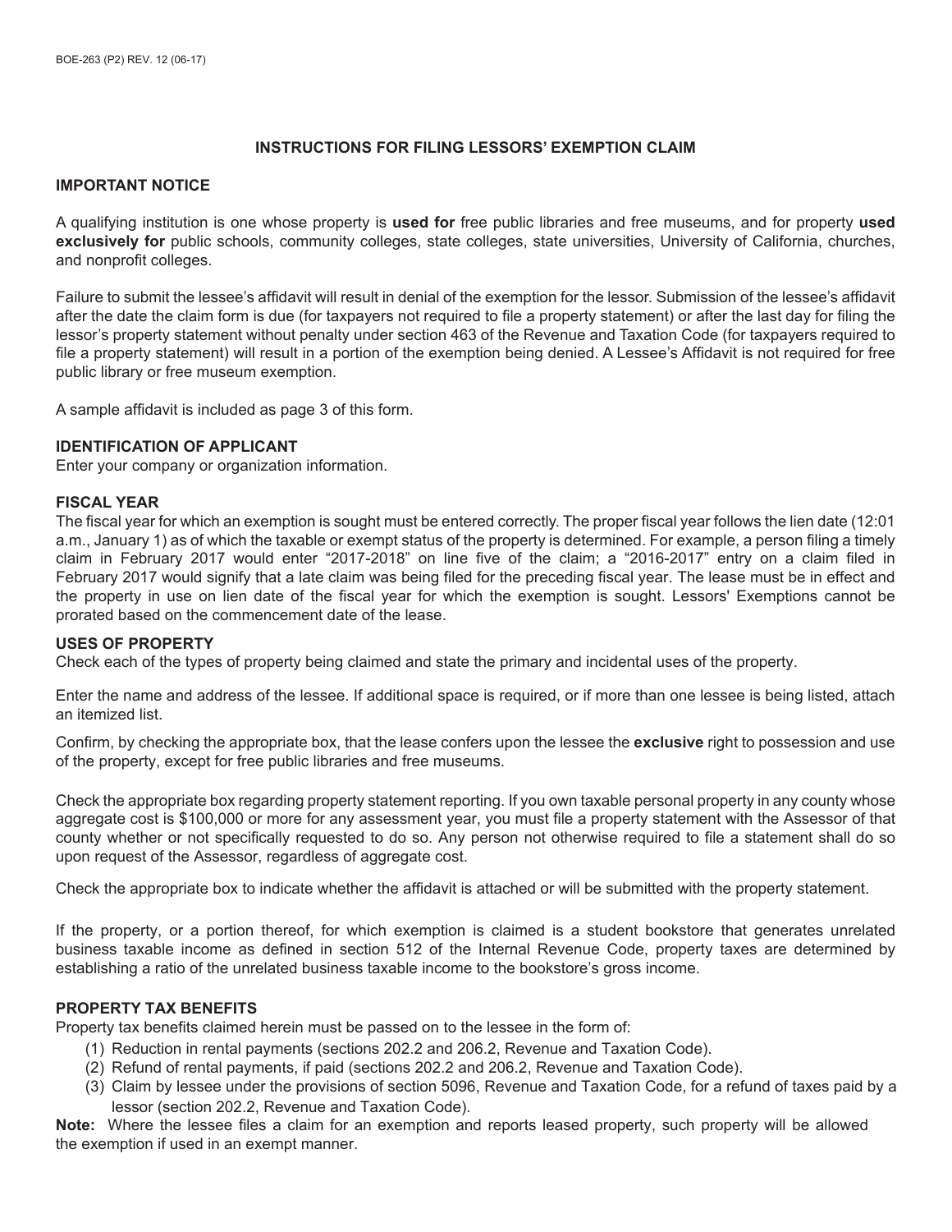## **INSTRUCTIONS FOR FILING LESSORS' EXEMPTION CLAIM**

#### **IMPORTANT NOTICE**

A qualifying institution is one whose property is **used for** free public libraries and free museums, and for property **used exclusively for** public schools, community colleges, state colleges, state universities, University of California, churches, and nonprofit colleges.

Failure to submit the lessee's affidavit will result in denial of the exemption for the lessor. Submission of the lessee's affidavit after the date the claim form is due (for taxpayers not required to file a property statement) or after the last day for filing the lessor's property statement without penalty under section 463 of the Revenue and Taxation Code (for taxpayers required to file a property statement) will result in a portion of the exemption being denied. A Lessee's Affidavit is not required for free public library or free museum exemption.

A sample affidavit is included as page 3 of this form.

#### **IDENTIFICATION OF APPLICANT**

Enter your company or organization information.

#### **FISCAL YEAR**

The fiscal year for which an exemption is sought must be entered correctly. The proper fiscal year follows the lien date (12:01 a.m., January 1) as of which the taxable or exempt status of the property is determined. For example, a person filing a timely claim in February 2017 would enter "2017-2018" on line five of the claim; a "2016-2017" entry on a claim filed in February 2017 would signify that a late claim was being filed for the preceding fiscal year. The lease must be in effect and the property in use on lien date of the fiscal year for which the exemption is sought. Lessors' Exemptions cannot be prorated based on the commencement date of the lease.

#### **USES OF PROPERTY**

Check each of the types of property being claimed and state the primary and incidental uses of the property.

Enter the name and address of the lessee. If additional space is required, or if more than one lessee is being listed, attach an itemized list.

Confirm, by checking the appropriate box, that the lease confers upon the lessee the **exclusive** right to possession and use of the property, except for free public libraries and free museums.

Check the appropriate box regarding property statement reporting. If you own taxable personal property in any county whose aggregate cost is \$100,000 or more for any assessment year, you must file a property statement with the Assessor of that county whether or not specifically requested to do so. Any person not otherwise required to file a statement shall do so upon request of the Assessor, regardless of aggregate cost.

Check the appropriate box to indicate whether the affidavit is attached or will be submitted with the property statement.

If the property, or a portion thereof, for which exemption is claimed is a student bookstore that generates unrelated business taxable income as defined in section 512 of the Internal Revenue Code, property taxes are determined by establishing a ratio of the unrelated business taxable income to the bookstore's gross income.

#### **PROPERTY TAX BENEFITS**

Property tax benefits claimed herein must be passed on to the lessee in the form of:

- (1) Reduction in rental payments (sections 202.2 and 206.2, Revenue and Taxation Code).
- (2) Refund of rental payments, if paid (sections 202.2 and 206.2, Revenue and Taxation Code).
- (3) Claim by lessee under the provisions of section 5096, Revenue and Taxation Code, for a refund of taxes paid by a lessor (section 202.2, Revenue and Taxation Code).

**Note:** Where the lessee files a claim for an exemption and reports leased property, such property will be allowed the exemption if used in an exempt manner.